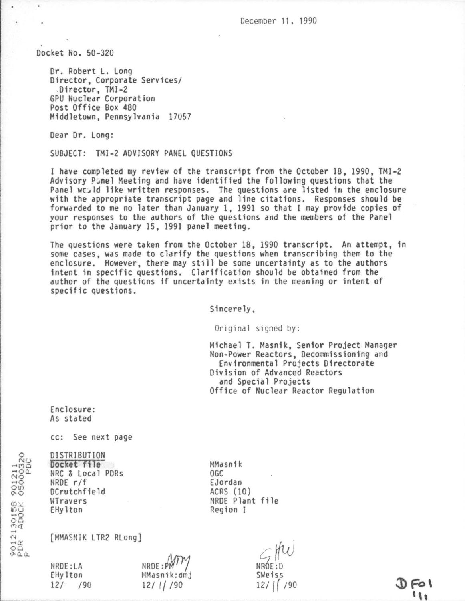December 11, 1990

Docket No. 50-320

Dr. Robert L. Long Director, Corporate Services/ Director, TMI-2 GPU Nuclear Corporation Post Office Box 480 Middletown, Pennsylvania 17057

Dear Dr. Long:

SUBJECT: TMI-2 ADVISORY PANEL QUESTIONS

I have completed my review of the transcript from the October 18, 1990, TMI-2 Advisory Panel Meeting and have identified the following questions that the Panel would like written responses. The questions are listed in the enclosure with the appropriate transcript page and line citations. Responses should be forwarded to me no later than January 1, 1991 so that I may provide copies of your responses to the authors of the questions and the members of the Panel prior to the January 15, 1991 panel meeting.

The questions were taken from the October 18, 1990 transcript. An attempt, in some cases, was made to clarify the questions when transcribing them to the enclosure. However, there may still be some uncertainty as to the authors intent in specific questions. Clarification should be obtained from the author of the questions if uncertainty exists in the meaning or intent of specific questions.

Sincerely.

Original signed by:

Michael T. Masnik, Senior Project Manager Non-Power Reactors, Decommissioning and Environmental Projects Directorate Division of Advanced Reactors and Special Projects Office of Nuclear Reactor Regulation

Enclosure: As stated

cc: See next page

DISTRIBUTION Docket file NRC & Local PDRs NRDE r/f DCrutchfield WTravers EHylton

MMasnik OGC EJordan ACRS (10) NRDE Plant file Region I

[MMASNIK LTR2 RLong]

NRDE:LA EHylton  $12/$  /90

 $NRDF: P$ MMasnik:dmj  $12/$  ( $/$  /90

NRÓE: D SWeiss  $12/$  |  $/90$ 

 $0 F01$  $\mathbf{u}_1$ 

9012130158 901211<br>PDR ADOCK 05000320<br>P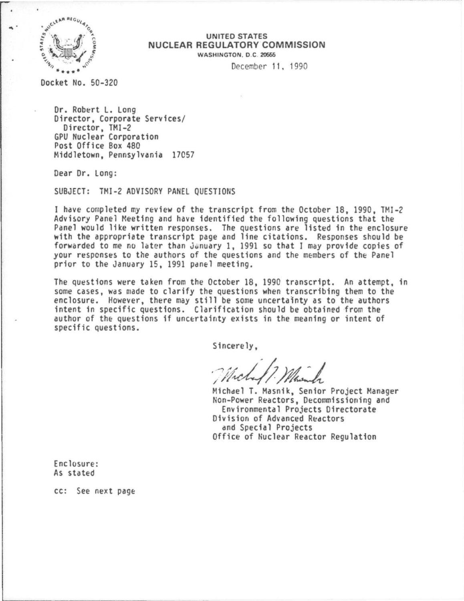

....

## UNITED STATES NUCLEAR REGULATORY COMMISSION WASHINGTON. 0 C 20666

December 11. 1990

Docket No. 50-320

Dr. Robert L. Long<br>Director, Corporate Services/ Director, TMI-2 GPU Nuclear Corporation Post Office Box 480 Middletown, Pennsylvania 17057

Dear Or. Long:

SUBJECT: TMI-2 ADVISORY PANEL QUESTIONS

I have completed my review of the transcript from the October 18, 1990, TMI-2 Advisory Panel Meeting and have identified the following questions that the Panel would like written responses. The questions are listed in the enclosure with the appropriate transcript page and line citations. Responses should be forwarded to me no later than January 1, 1991 so that I may provide copies of your responses to the authors of the questions and the members of the Panel prior to the January 15, 1991 panel meeting.

The questions were taken from the October 18, 1990 transcript. An attempt, in some cases, was made to clarify the questions when transcribing them to the enclosure. However, there may still be some uncertainty as to the authors intent in specific questions. Clarification should be obtained from the author of the questions if uncertainty exists in the meaning or intent of specific questions.

Sincerely,

Michael T. Masnik, Senior Project Manager Non-Power Reactors, Decommissioning and Environmental Projects Directorate Division of Advanced Reactors and Special Projects Office of Nuclear Reactor Regulation

Enclosure: As stated

cc: See next page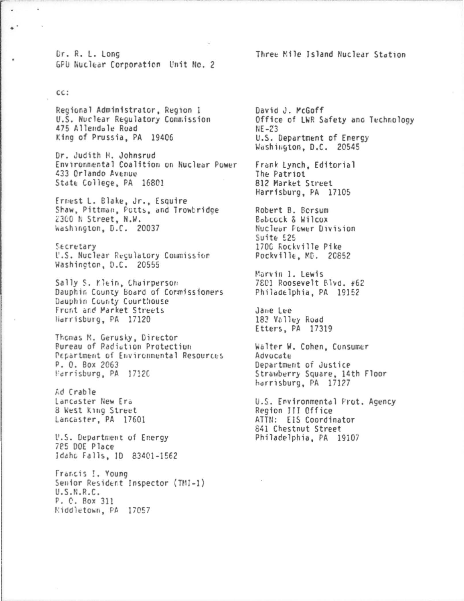Dr. R. L. Long GPU Nuclear Corporation Unit No. 2

CC:

÷

Regional Administrator, Region 1 U.S. Nuclear Regulatory Commission 475 Allendale Road King of Prussia, PA 19406

Dr. Judith H. Johnsrud Environmental Coalition on Nuclear Power 433 Orlando Avenue State College, PA 16801

Ernest L. Blake, Jr., Esquire Shaw, Pittman, Potts, and Trowbridge 2300 N Street, N.W. Washington, D.C. 20037

Secretary U.S. Nuclear Regulatory Commission Washington, D.C. 20555

Sally S. Klein, Chairperson Dauphin County Board of Cormissioners Dauphin County Courthouse Front and Market Streets Harrisburg, PA 17120

Thomas M. Gerusky, Director **Bureau of Radiation Protection** Pepartment of Environmental Resources P. O. Box 2063 Harrisburg, PA 1712C

Ad Crable Lancaster New Era 8 West King Street Lancaster, PA 17601

U.S. Department of Energy 785 DOE Place Idaho Falls, ID 83401-1562

Francis I. Young Senior Resident Inspector (TMI-1)  $U.S.N.R.C.$ P. C. Box 311 Middletown, PA 17057

David J. McGoff Office of LWR Safety and Technology  $NE - 23$ U.S. Department of Energy Washington, D.C. 20545

Frank Lynch, Editorial The Patriot 812 Market Street Harrisburg, PA 17105

Robert B. Bersum Bobcock & Wilcox Nuclear Fower Division Suite 525 1700 Rockville Pike Pockville, MD. 20852

Marvin I. Lewis 7801 Roosevelt Blvd. #62 Philadelphia, PA 19152

Jane Lee 183 Valley Road Etters, PA 17319

Walter W. Cohen, Consumer Advocate Department of Justice Strawberry Square, 14th Floor harrisburg, PA 17127

U.S. Environmental Prot. Agency Region III Office ATTN: EIS Coordinator 841 Chestnut Street Philadelphia, PA 19107

Three Mile Island Nuclear Station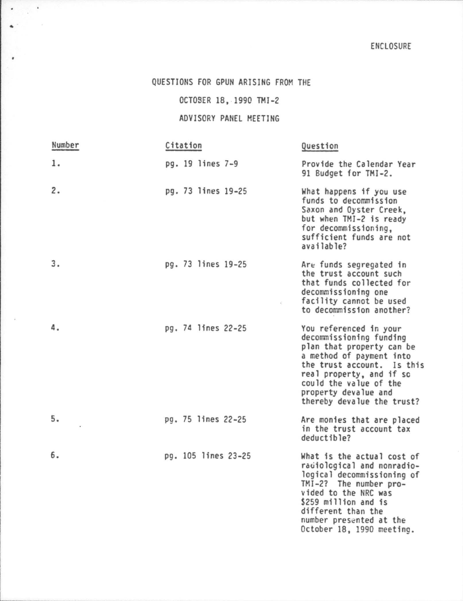## QUESTIONS FOR GPUN ARISING FROM THE

 $\bullet$  ,  $\pm$  $\Delta$  -  $\Delta$  -  $\Delta$  -  $\Delta$ 

 $\lambda$ 

OCTOSER 18, 1990 TMI-2

ADVISORY PANEL MEETING

| Number | Citation            | Question                                                                                                                                                                                                                                             |
|--------|---------------------|------------------------------------------------------------------------------------------------------------------------------------------------------------------------------------------------------------------------------------------------------|
| 1.     | pg. 19 lines 7-9    | Provide the Calendar Year<br>91 Budget for TMI-2.                                                                                                                                                                                                    |
| 2.     | pg. 73 lines 19-25  | What happens if you use<br>funds to decommission<br>Saxon and Oyster Creek,<br>but when TMI-2 is ready<br>for decommissioning,<br>sufficient funds are not<br>available?                                                                             |
| 3.     | pg. 73 lines 19-25  | Are funds segregated in<br>the trust account such<br>that funds collected for<br>decommissioning one<br>facility cannot be used<br>to decommission another?                                                                                          |
| 4.     | pg. 74 lines 22-25  | You referenced in your<br>decommissioning funding<br>plan that property can be<br>a method of payment into<br>the trust account. Is this<br>real property, and if so<br>could the value of the<br>property devalue and<br>thereby devalue the trust? |
| 5.     | pg. 75 lines 22-25  | Are monies that are placed<br>in the trust account tax<br>deductible?                                                                                                                                                                                |
| 6.     | pg. 105 lines 23-25 | What is the actual cost of<br>radiological and nonradio-<br>logical decommissioning of<br>TMI-2? The number pro-<br>vided to the NRC was<br>\$259 million and is<br>different than the<br>number presented at the<br>October 18, 1990 meeting.       |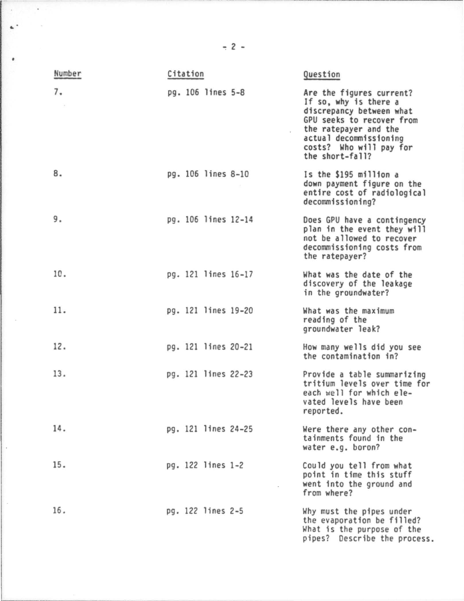| Number | Citation            |  | Question                                                                                                                                                                                                    |
|--------|---------------------|--|-------------------------------------------------------------------------------------------------------------------------------------------------------------------------------------------------------------|
| 7.     | pg. 106 lines 5-8   |  | Are the figures current?<br>If so, why is there a<br>discrepancy between what<br>GPU seeks to recover from<br>the ratepayer and the<br>actual decommissioning<br>costs? Who will pay for<br>the short-fall? |
| 8.     | pg. 106 lines 8-10  |  | Is the \$195 million a<br>down payment figure on the<br>entire cost of radiological<br>decommissioning?                                                                                                     |
| 9.     | pg. 106 lines 12-14 |  | Does GPU have a contingency<br>plan in the event they will<br>not be allowed to recover<br>decommissioning costs from<br>the ratepayer?                                                                     |
| 10.    | pg. 121 lines 16-17 |  | What was the date of the<br>discovery of the leakage<br>in the groundwater?                                                                                                                                 |
| 11.    | pg. 121 lines 19-20 |  | What was the maximum<br>reading of the<br>groundwater leak?                                                                                                                                                 |
| 12.    | pg. 121 lines 20-21 |  | How many wells did you see<br>the contamination in?                                                                                                                                                         |
| 13.    | pg. 121 lines 22-23 |  | Provide a table summarizing<br>tritium levels over time for<br>each well for which ele-<br>vated levels have been<br>reported.                                                                              |
| 14.    | pg. 121 lines 24-25 |  | Were there any other con-<br>tainments found in the<br>water e.g. boron?                                                                                                                                    |
| 15.    | pg. 122 lines 1-2   |  | Could you tell from what<br>point in time this stuff<br>went into the ground and<br>from where?                                                                                                             |
| 16.    | pg. 122 lines 2-5   |  | Why must the pipes under<br>the evaporation be filled?<br>What is the purpose of the<br>pipes? Describe the process.                                                                                        |

 $-2 -$ 

**Country** 

 $\mathbf{A}^{(k)}$  and  $\mathbf{A}^{(k)}$ 

 $\bullet$ 

 $\sim$ 

 $\lambda$ 

 $\sim$